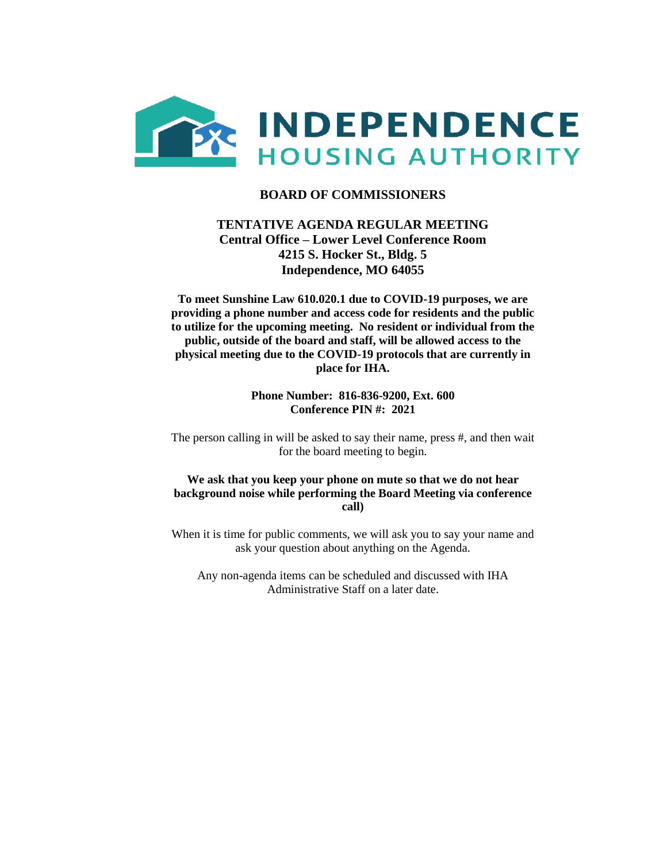

## **BOARD OF COMMISSIONERS**

## **TENTATIVE AGENDA REGULAR MEETING Central Office – Lower Level Conference Room 4215 S. Hocker St., Bldg. 5 Independence, MO 64055**

**To meet Sunshine Law 610.020.1 due to COVID-19 purposes, we are providing a phone number and access code for residents and the public to utilize for the upcoming meeting. No resident or individual from the public, outside of the board and staff, will be allowed access to the physical meeting due to the COVID-19 protocols that are currently in place for IHA.** 

> **Phone Number: 816-836-9200, Ext. 600 Conference PIN #: 2021**

The person calling in will be asked to say their name, press #, and then wait for the board meeting to begin.

#### **We ask that you keep your phone on mute so that we do not hear background noise while performing the Board Meeting via conference call)**

When it is time for public comments, we will ask you to say your name and ask your question about anything on the Agenda.

Any non-agenda items can be scheduled and discussed with IHA Administrative Staff on a later date.